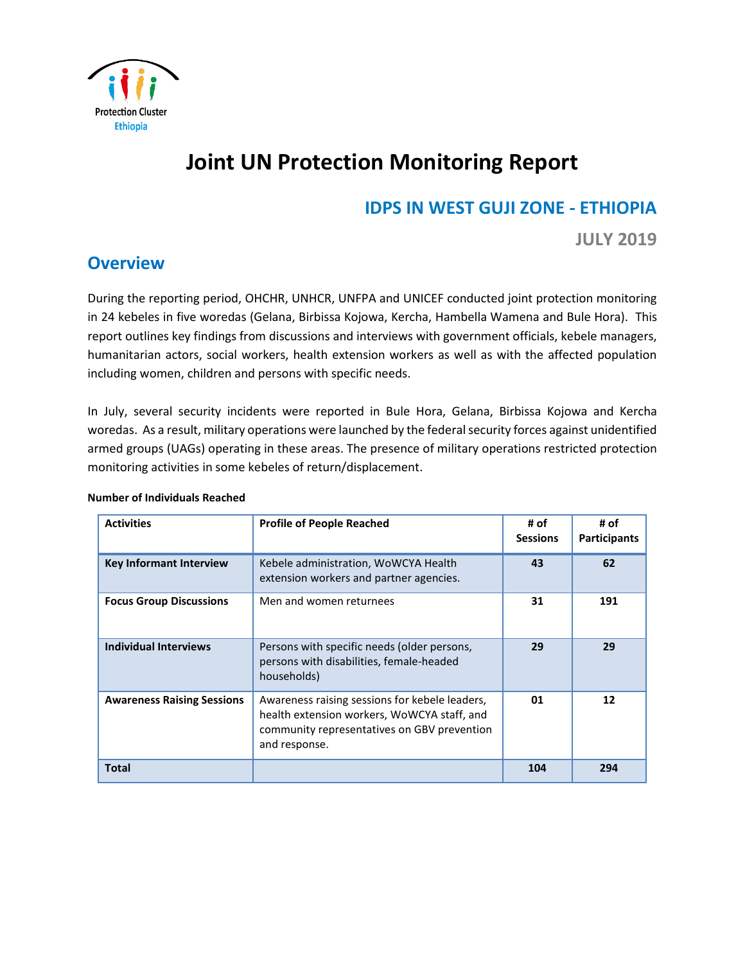

# **Joint UN Protection Monitoring Report**

### **IDPS IN WEST GUJI ZONE - ETHIOPIA**

**JULY 2019** 

### **Overview**

During the reporting period, OHCHR, UNHCR, UNFPA and UNICEF conducted joint protection monitoring in 24 kebeles in five woredas (Gelana, Birbissa Kojowa, Kercha, Hambella Wamena and Bule Hora). This report outlines key findings from discussions and interviews with government officials, kebele managers, humanitarian actors, social workers, health extension workers as well as with the affected population including women, children and persons with specific needs.

In July, several security incidents were reported in Bule Hora, Gelana, Birbissa Kojowa and Kercha woredas. As a result, military operations were launched by the federal security forces against unidentified armed groups (UAGs) operating in these areas. The presence of military operations restricted protection monitoring activities in some kebeles of return/displacement.

| <b>Activities</b>                 | <b>Profile of People Reached</b>                                                                                                                              | # of<br><b>Sessions</b> | # of<br><b>Participants</b> |
|-----------------------------------|---------------------------------------------------------------------------------------------------------------------------------------------------------------|-------------------------|-----------------------------|
| <b>Key Informant Interview</b>    | Kebele administration, WoWCYA Health<br>extension workers and partner agencies.                                                                               | 43                      | 62                          |
| <b>Focus Group Discussions</b>    | Men and women returnees                                                                                                                                       | 31                      | 191                         |
| <b>Individual Interviews</b>      | Persons with specific needs (older persons,<br>persons with disabilities, female-headed<br>households)                                                        | 29                      | 29                          |
| <b>Awareness Raising Sessions</b> | Awareness raising sessions for kebele leaders,<br>health extension workers, WoWCYA staff, and<br>community representatives on GBV prevention<br>and response. | 01                      | 12                          |
| Total                             |                                                                                                                                                               | 104                     | 294                         |

#### **Number of Individuals Reached**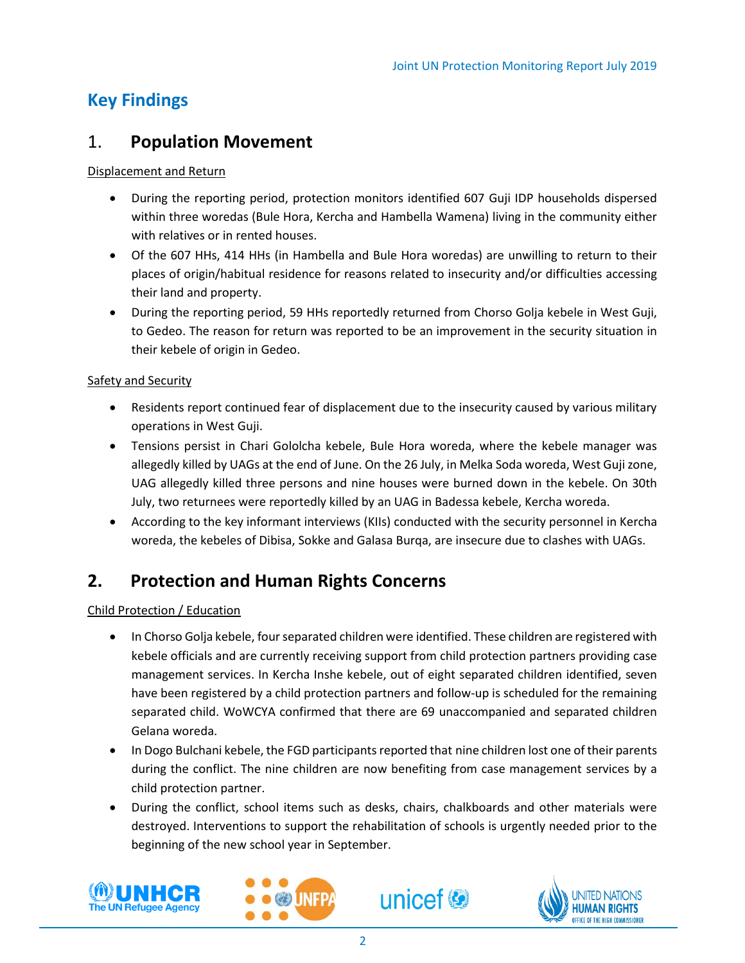# **Key Findings**

### 1. **Population Movement**

#### Displacement and Return

- During the reporting period, protection monitors identified 607 Guji IDP households dispersed within three woredas (Bule Hora, Kercha and Hambella Wamena) living in the community either with relatives or in rented houses.
- Of the 607 HHs, 414 HHs (in Hambella and Bule Hora woredas) are unwilling to return to their places of origin/habitual residence for reasons related to insecurity and/or difficulties accessing their land and property.
- During the reporting period, 59 HHs reportedly returned from Chorso Golja kebele in West Guji, to Gedeo. The reason for return was reported to be an improvement in the security situation in their kebele of origin in Gedeo.

#### Safety and Security

- Residents report continued fear of displacement due to the insecurity caused by various military operations in West Guji.
- Tensions persist in Chari Gololcha kebele, Bule Hora woreda, where the kebele manager was allegedly killed by UAGs at the end of June. On the 26 July, in Melka Soda woreda, West Guji zone, UAG allegedly killed three persons and nine houses were burned down in the kebele. On 30th July, two returnees were reportedly killed by an UAG in Badessa kebele, Kercha woreda.
- According to the key informant interviews (KIIs) conducted with the security personnel in Kercha woreda, the kebeles of Dibisa, Sokke and Galasa Burqa, are insecure due to clashes with UAGs.

### **2. Protection and Human Rights Concerns**

Child Protection / Education

- In Chorso Golja kebele, fourseparated children were identified. These children are registered with kebele officials and are currently receiving support from child protection partners providing case management services. In Kercha Inshe kebele, out of eight separated children identified, seven have been registered by a child protection partners and follow-up is scheduled for the remaining separated child. WoWCYA confirmed that there are 69 unaccompanied and separated children Gelana woreda.
- In Dogo Bulchani kebele, the FGD participants reported that nine children lost one of their parents during the conflict. The nine children are now benefiting from case management services by a child protection partner.
- During the conflict, school items such as desks, chairs, chalkboards and other materials were destroyed. Interventions to support the rehabilitation of schools is urgently needed prior to the beginning of the new school year in September.



l,





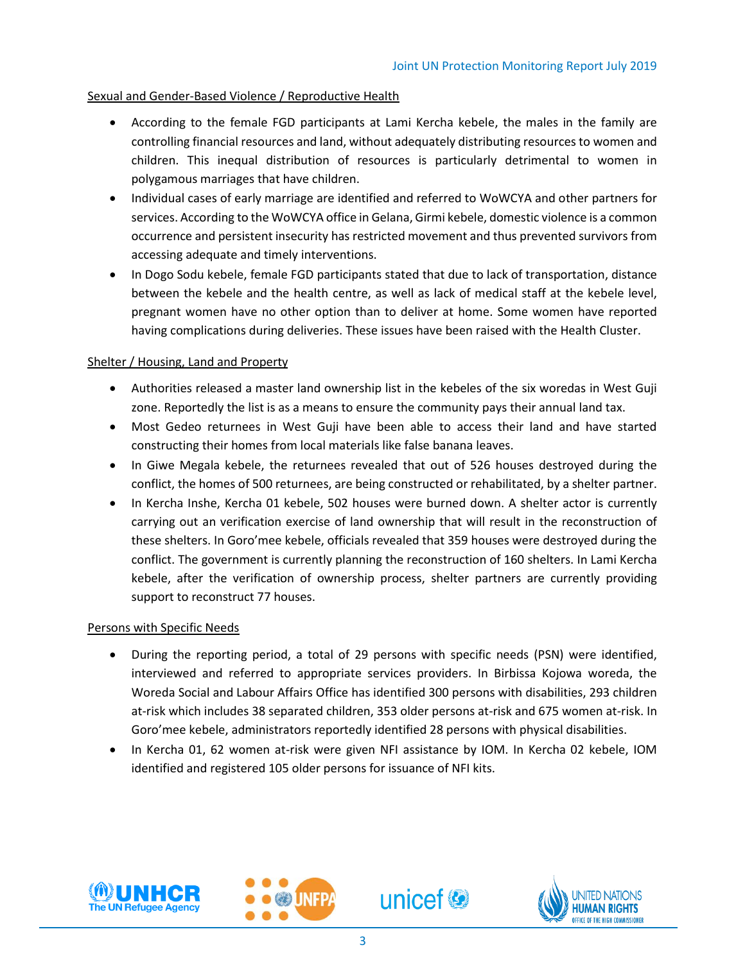#### Sexual and Gender-Based Violence / Reproductive Health

- According to the female FGD participants at Lami Kercha kebele, the males in the family are controlling financial resources and land, without adequately distributing resources to women and children. This inequal distribution of resources is particularly detrimental to women in polygamous marriages that have children.
- Individual cases of early marriage are identified and referred to WoWCYA and other partners for services. According to the WoWCYA office in Gelana, Girmi kebele, domestic violence is a common occurrence and persistent insecurity has restricted movement and thus prevented survivors from accessing adequate and timely interventions.
- In Dogo Sodu kebele, female FGD participants stated that due to lack of transportation, distance between the kebele and the health centre, as well as lack of medical staff at the kebele level, pregnant women have no other option than to deliver at home. Some women have reported having complications during deliveries. These issues have been raised with the Health Cluster.

#### Shelter / Housing, Land and Property

- Authorities released a master land ownership list in the kebeles of the six woredas in West Guji zone. Reportedly the list is as a means to ensure the community pays their annual land tax.
- Most Gedeo returnees in West Guji have been able to access their land and have started constructing their homes from local materials like false banana leaves.
- In Giwe Megala kebele, the returnees revealed that out of 526 houses destroyed during the conflict, the homes of 500 returnees, are being constructed or rehabilitated, by a shelter partner.
- In Kercha Inshe, Kercha 01 kebele, 502 houses were burned down. A shelter actor is currently carrying out an verification exercise of land ownership that will result in the reconstruction of these shelters. In Goro'mee kebele, officials revealed that 359 houses were destroyed during the conflict. The government is currently planning the reconstruction of 160 shelters. In Lami Kercha kebele, after the verification of ownership process, shelter partners are currently providing support to reconstruct 77 houses.

#### Persons with Specific Needs

- During the reporting period, a total of 29 persons with specific needs (PSN) were identified, interviewed and referred to appropriate services providers. In Birbissa Kojowa woreda, the Woreda Social and Labour Affairs Office has identified 300 persons with disabilities, 293 children at-risk which includes 38 separated children, 353 older persons at-risk and 675 women at-risk. In Goro'mee kebele, administrators reportedly identified 28 persons with physical disabilities.
- In Kercha 01, 62 women at-risk were given NFI assistance by IOM. In Kercha 02 kebele, IOM identified and registered 105 older persons for issuance of NFI kits.



l,